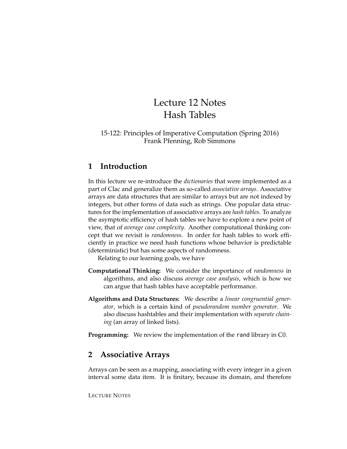# Lecture 12 Notes Hash Tables

#### 15-122: Principles of Imperative Computation (Spring 2016) Frank Pfenning, Rob Simmons

## **1 Introduction**

In this lecture we re-introduce the *dictionaries* that were implemented as a part of Clac and generalize them as so-called *associative arrays*. Associative arrays are data structures that are similar to arrays but are not indexed by integers, but other forms of data such as strings. One popular data structures for the implementation of associative arrays are *hash tables*. To analyze the asymptotic efficiency of hash tables we have to explore a new point of view, that of *average case complexity*. Another computational thinking concept that we revisit is *randomness*. In order for hash tables to work efficiently in practice we need hash functions whose behavior is predictable (deterministic) but has some aspects of randomness.

Relating to our learning goals, we have

- **Computational Thinking:** We consider the importance of *randomness* in algorithms, and also discuss *average case analysis*, which is how we can argue that hash tables have acceptable performance.
- **Algorithms and Data Structures:** We describe a *linear congruential generator*, which is a certain kind of *pseudorandom number generator*. We also discuss hashtables and their implementation with *separate chaining* (an array of linked lists).

**Programming:** We review the implementation of the rand library in C0.

# **2 Associative Arrays**

Arrays can be seen as a mapping, associating with every integer in a given interval some data item. It is finitary, because its domain, and therefore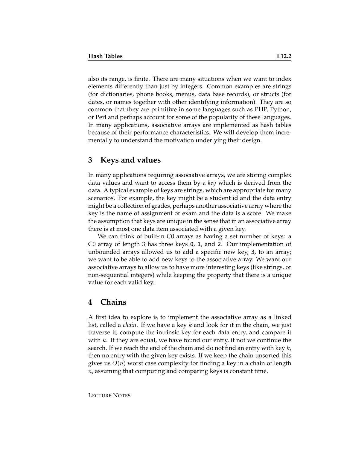also its range, is finite. There are many situations when we want to index elements differently than just by integers. Common examples are strings (for dictionaries, phone books, menus, data base records), or structs (for dates, or names together with other identifying information). They are so common that they are primitive in some languages such as PHP, Python, or Perl and perhaps account for some of the popularity of these languages. In many applications, associative arrays are implemented as hash tables because of their performance characteristics. We will develop them incrementally to understand the motivation underlying their design.

#### **3 Keys and values**

In many applications requiring associative arrays, we are storing complex data values and want to access them by a *key* which is derived from the data. A typical example of keys are strings, which are appropriate for many scenarios. For example, the key might be a student id and the data entry might be a collection of grades, perhaps another associative array where the key is the name of assignment or exam and the data is a score. We make the assumption that keys are unique in the sense that in an associative array there is at most one data item associated with a given key.

We can think of built-in C0 arrays as having a set number of keys: a C0 array of length 3 has three keys 0, 1, and 2. Our implementation of unbounded arrays allowed us to add a specific new key, 3, to an array; we want to be able to add new keys to the associative array. We want our associative arrays to allow us to have more interesting keys (like strings, or non-sequential integers) while keeping the property that there is a unique value for each valid key.

#### **4 Chains**

A first idea to explore is to implement the associative array as a linked list, called a *chain*. If we have a key k and look for it in the chain, we just traverse it, compute the intrinsic key for each data entry, and compare it with k. If they are equal, we have found our entry, if not we continue the search. If we reach the end of the chain and do not find an entry with key  $k$ , then no entry with the given key exists. If we keep the chain unsorted this gives us  $O(n)$  worst case complexity for finding a key in a chain of length  $n$ , assuming that computing and comparing keys is constant time.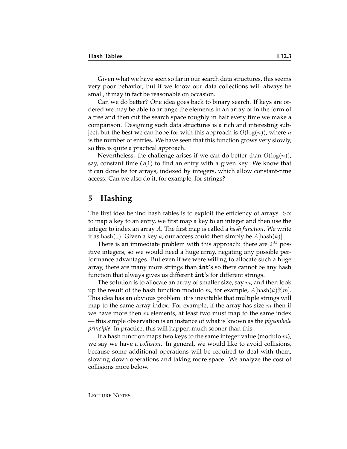Given what we have seen so far in our search data structures, this seems very poor behavior, but if we know our data collections will always be small, it may in fact be reasonable on occasion.

Can we do better? One idea goes back to binary search. If keys are ordered we may be able to arrange the elements in an array or in the form of a tree and then cut the search space roughly in half every time we make a comparison. Designing such data structures is a rich and interesting subject, but the best we can hope for with this approach is  $O(\log(n))$ , where n is the number of entries. We have seen that this function grows very slowly, so this is quite a practical approach.

Nevertheless, the challenge arises if we can do better than  $O(log(n))$ , say, constant time  $O(1)$  to find an entry with a given key. We know that it can done be for arrays, indexed by integers, which allow constant-time access. Can we also do it, for example, for strings?

#### **5 Hashing**

The first idea behind hash tables is to exploit the efficiency of arrays. So: to map a key to an entry, we first map a key to an integer and then use the integer to index an array A. The first map is called a *hash function*. We write it as hash( $\Box$ ). Given a key k, our access could then simply be  $A[\text{hash}(k)]$ .

There is an immediate problem with this approach: there are  $2^{31}$  positive integers, so we would need a huge array, negating any possible performance advantages. But even if we were willing to allocate such a huge array, there are many more strings than **int**'s so there cannot be any hash function that always gives us different **int**'s for different strings.

The solution is to allocate an array of smaller size, say  $m$ , and then look up the result of the hash function modulo m, for example,  $A[\text{hash}(k)\%m]$ . This idea has an obvious problem: it is inevitable that multiple strings will map to the same array index. For example, if the array has size  $m$  then if we have more then  $m$  elements, at least two must map to the same index — this simple observation is an instance of what is known as the *pigeonhole principle*. In practice, this will happen much sooner than this.

If a hash function maps two keys to the same integer value (modulo  $m$ ), we say we have a *collision*. In general, we would like to avoid collisions, because some additional operations will be required to deal with them, slowing down operations and taking more space. We analyze the cost of collisions more below.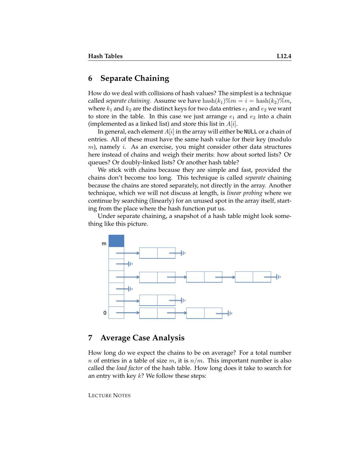## **6 Separate Chaining**

How do we deal with collisions of hash values? The simplest is a technique called *separate chaining*. Assume we have  $\text{hash}(k_1)\%m = i = \text{hash}(k_2)\%m$ , where  $k_1$  and  $k_2$  are the distinct keys for two data entries  $e_1$  and  $e_2$  we want to store in the table. In this case we just arrange  $e_1$  and  $e_2$  into a chain (implemented as a linked list) and store this list in  $A[i]$ .

In general, each element  $A[i]$  in the array will either be NULL or a chain of entries. All of these must have the same hash value for their key (modulo  $m$ ), namely i. As an exercise, you might consider other data structures here instead of chains and weigh their merits: how about sorted lists? Or queues? Or doubly-linked lists? Or another hash table?

We stick with chains because they are simple and fast, provided the chains don't become too long. This technique is called *separate* chaining because the chains are stored separately, not directly in the array. Another technique, which we will not discuss at length, is *linear probing* where we continue by searching (linearly) for an unused spot in the array itself, starting from the place where the hash function put us.

Under separate chaining, a snapshot of a hash table might look something like this picture.



### **7 Average Case Analysis**

How long do we expect the chains to be on average? For a total number *n* of entries in a table of size *m*, it is  $n/m$ . This important number is also called the *load factor* of the hash table. How long does it take to search for an entry with key  $k$ ? We follow these steps:

LECTURE NOTES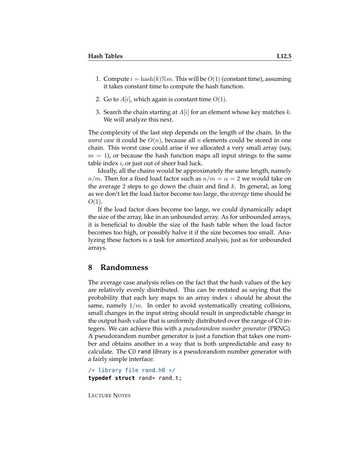- 1. Compute  $i = \text{hash}(k)\%m$ . This will be  $O(1)$  (constant time), assuming it takes constant time to compute the hash function.
- 2. Go to  $A[i]$ , which again is constant time  $O(1)$ .
- 3. Search the chain starting at  $A[i]$  for an element whose key matches k. We will analyze this next.

The complexity of the last step depends on the length of the chain. In the *worst case* it could be  $O(n)$ , because all n elements could be stored in one chain. This worst case could arise if we allocated a very small array (say,  $m = 1$ , or because the hash function maps all input strings to the same table index  $i$ , or just out of sheer bad luck.

Ideally, all the chains would be approximately the same length, namely  $n/m$ . Then for a fixed load factor such as  $n/m = \alpha = 2$  we would take on the average 2 steps to go down the chain and find  $k$ . In general, as long as we don't let the load factor become too large, the *average* time should be  $O(1)$ .

If the load factor does become too large, we could dynamically adapt the size of the array, like in an unbounded array. As for unbounded arrays, it is beneficial to double the size of the hash table when the load factor becomes too high, or possibly halve it if the size becomes too small. Analyzing these factors is a task for amortized analysis, just as for unbounded arrays.

#### **8 Randomness**

The average case analysis relies on the fact that the hash values of the key are relatively evenly distributed. This can be restated as saying that the probability that each key maps to an array index  $i$  should be about the same, namely  $1/m$ . In order to avoid systematically creating collisions, small changes in the input string should result in unpredictable change in the output hash value that is uniformly distributed over the range of C0 integers. We can achieve this with a *pseudorandom number generator* (PRNG). A pseudorandom number generator is just a function that takes one number and obtains another in a way that is both unpredictable and easy to calculate. The C0 rand library is a pseudorandom number generator with a fairly simple interface:

```
/* library file rand.h0 */
typedef struct rand* rand_t;
```
LECTURE NOTES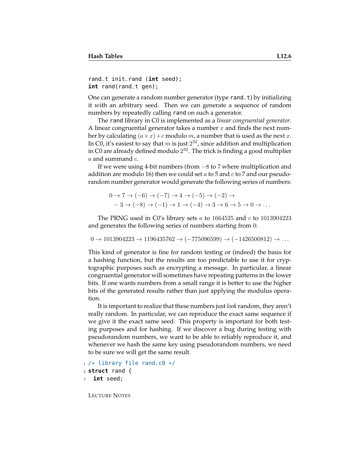```
rand_t init_rand (int seed);
int rand(rand_t gen);
```
One can generate a random number generator (type rand\_t) by initializing it with an arbitrary seed. Then we can generate a sequence of random numbers by repeatedly calling rand on such a generator.

The rand library in C0 is implemented as a *linear congruential generator*. A linear congruential generator takes a number x and finds the next number by calculating  $(a \times x) + c$  modulo m, a number that is used as the next x. In C0, it's easiest to say that  $m$  is just  $2^{32}$ , since addition and multiplication in C0 are already defined modulo  $2^{32}$ . The trick is finding a good multiplier  $a$  and summand  $c$ .

If we were using 4-bit numbers (from −8 to 7 where multiplication and addition are modulo 16) then we could set a to 5 and c to 7 and our pseudorandom number generator would generate the following series of numbers:

$$
0 \to 7 \to (-6) \to (-7) \to 4 \to (-5) \to (-2) \to
$$
  

$$
-3 \to (-8) \to (-1) \to 1 \to (-4) \to 3 \to 6 \to 5 \to 0 \to \dots
$$

The PRNG used in C0's library sets  $a$  to 1664525 and  $c$  to 1013904223 and generates the following series of numbers starting from 0:

```
0 \rightarrow 1013904223 \rightarrow 1196435762 \rightarrow (-775096599) \rightarrow (-1426500812) \rightarrow \dots
```
This kind of generator is fine for random testing or (indeed) the basis for a hashing function, but the results are too predictable to use it for cryptographic purposes such as encrypting a message. In particular, a linear congruential generator will sometimes have repeating patterns in the lower bits. If one wants numbers from a small range it is better to use the higher bits of the generated results rather than just applying the modulus operation.

It is important to realize that these numbers just *look* random, they aren't really random. In particular, we can reproduce the exact same sequence if we give it the exact same seed. This property is important for both testing purposes and for hashing. If we discover a bug during testing with pseudorandom numbers, we want to be able to reliably reproduce it, and whenever we hash the same key using pseudorandom numbers, we need to be sure we will get the same result.

```
_1 /* library file rand.c0 */
```

```
2 struct rand {
```

```
3 int seed;
```
LECTURE NOTES